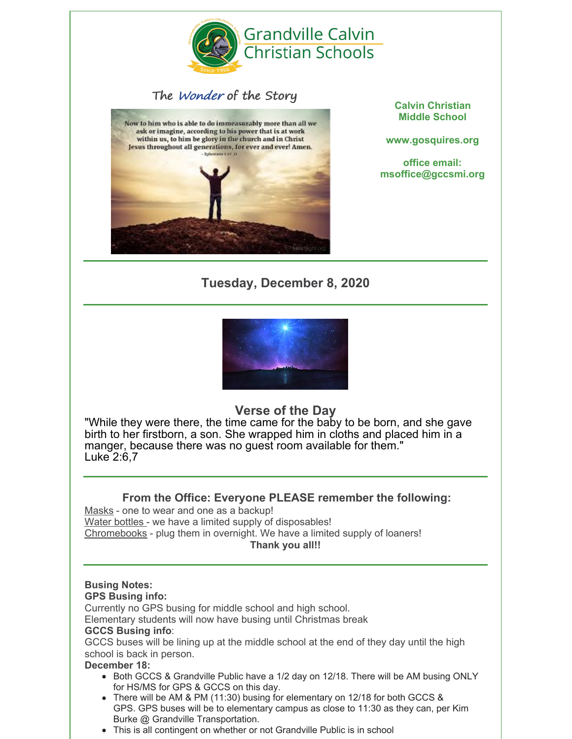

# The Wonder of the Story



**Calvin Christian Middle School**

**www.gosquires.org**

**office email: msoffice@gccsmi.org**

# **Tuesday, December 8, 2020**



# **Verse of the Day**

"While they were there, the time came for the baby to be born, and she gave birth to her firstborn, a son. She wrapped him in cloths and placed him in a manger, because there was no guest room available for them." Luke 2:6,7

## **From the Office: Everyone PLEASE remember the following:**

Masks - one to wear and one as a backup! Water bottles - we have a limited supply of disposables! Chromebooks - plug them in overnight. We have a limited supply of loaners! **Thank you all!!**

# **Busing Notes:**

### **GPS Busing info:**

Currently no GPS busing for middle school and high school.

Elementary students will now have busing until Christmas break

#### **GCCS Busing info**:

GCCS buses will be lining up at the middle school at the end of they day until the high school is back in person.

#### **December 18:**

- Both GCCS & Grandville Public have a 1/2 day on 12/18. There will be AM busing ONLY for HS/MS for GPS & GCCS on this day.
- There will be AM & PM (11:30) busing for elementary on 12/18 for both GCCS & GPS. GPS buses will be to elementary campus as close to 11:30 as they can, per Kim Burke @ Grandville Transportation.
- This is all contingent on whether or not Grandville Public is in school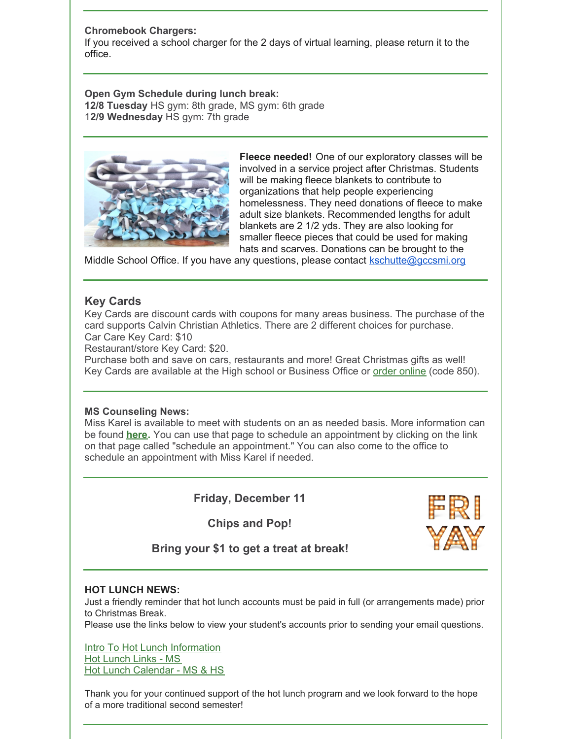#### **Chromebook Chargers:**

If you received a school charger for the 2 days of virtual learning, please return it to the office.

#### **Open Gym Schedule during lunch break: 12/8 Tuesday** HS gym: 8th grade, MS gym: 6th grade 1**2/9 Wednesday** HS gym: 7th grade



**Fleece needed!** One of our exploratory classes will be involved in a service project after Christmas. Students will be making fleece blankets to contribute to organizations that help people experiencing homelessness. They need donations of fleece to make adult size blankets. Recommended lengths for adult blankets are 2 1/2 yds. They are also looking for smaller fleece pieces that could be used for making hats and scarves. Donations can be brought to the

Middle School Office. If you have any questions, please contact [kschutte@gccsmi.org](mailto:kschutte@gccsmi.org)

## **Key Cards**

Key Cards are discount cards with coupons for many areas business. The purchase of the card supports Calvin Christian Athletics. There are 2 different choices for purchase. Car Care Key Card: \$10

Restaurant/store Key Card: \$20.

Purchase both and save on cars, restaurants and more! Great Christmas gifts as well! Key Cards are available at the High school or Business Office or order [online](https://qrkeycard.com/) (code 850).

#### **MS Counseling News:**

Miss Karel is available to meet with students on an as needed basis. More information can be found **[here](https://www.gosquires.org/hs/ms-counseling-office/).** You can use that page to schedule an appointment by clicking on the link on that page called "schedule an appointment." You can also come to the office to schedule an appointment with Miss Karel if needed.

## **Friday, December 11**

**Chips and Pop!**



**Bring your \$1 to get a treat at break!**

#### **HOT LUNCH NEWS:**

Just a friendly reminder that hot lunch accounts must be paid in full (or arrangements made) prior to Christmas Break.

Please use the links below to view your student's accounts prior to sending your email questions.

Intro To Hot Lunch [Information](https://docs.google.com/document/d/1BoZQTh6-gL7SKfAMh-Z4Uyyrj1ztysVpoZl64_2-FSA/edit?usp=sharing) Hot [Lunch](https://docs.google.com/document/d/1YaECT8lM5v4gXl2MzGj9-cB3W2wEodbLcrvK7rj1xGs/edit?usp=sharing) Links - MS Hot Lunch [Calendar](https://docs.google.com/spreadsheets/d/1UtvQt-cQEpbcHn9w8uKPECKOxGm6SFjvAvQsb0DwAIE/edit?usp=sharing) - MS & HS

Thank you for your continued support of the hot lunch program and we look forward to the hope of a more traditional second semester!